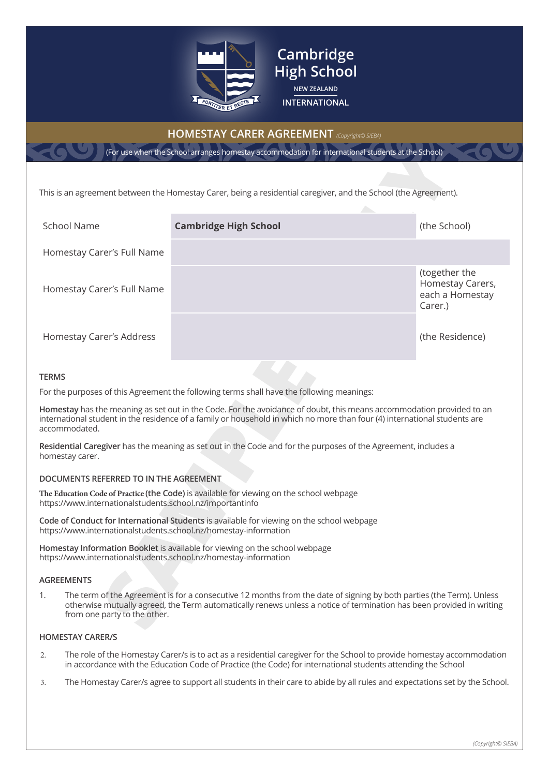

# **HOMESTAY CARER AGREEMENT** *(Copyright© SIEBA)*

**Cambridge High School NEW ZEALAND INTERNATIONAL**

|                                                                                                                                                                                                                                                                                    | (For use when the School arranges homestay accommodation for international students at the School)                                                                                                                                                |                                                                 |  |  |  |
|------------------------------------------------------------------------------------------------------------------------------------------------------------------------------------------------------------------------------------------------------------------------------------|---------------------------------------------------------------------------------------------------------------------------------------------------------------------------------------------------------------------------------------------------|-----------------------------------------------------------------|--|--|--|
|                                                                                                                                                                                                                                                                                    |                                                                                                                                                                                                                                                   |                                                                 |  |  |  |
|                                                                                                                                                                                                                                                                                    | This is an agreement between the Homestay Carer, being a residential caregiver, and the School (the Agreement).                                                                                                                                   |                                                                 |  |  |  |
| <b>School Name</b>                                                                                                                                                                                                                                                                 | <b>Cambridge High School</b>                                                                                                                                                                                                                      | (the School)                                                    |  |  |  |
| Homestay Carer's Full Name                                                                                                                                                                                                                                                         |                                                                                                                                                                                                                                                   |                                                                 |  |  |  |
| Homestay Carer's Full Name                                                                                                                                                                                                                                                         |                                                                                                                                                                                                                                                   | (together the<br>Homestay Carers,<br>each a Homestay<br>Carer.) |  |  |  |
| Homestay Carer's Address                                                                                                                                                                                                                                                           |                                                                                                                                                                                                                                                   | (the Residence)                                                 |  |  |  |
| <b>TERMS</b>                                                                                                                                                                                                                                                                       |                                                                                                                                                                                                                                                   |                                                                 |  |  |  |
|                                                                                                                                                                                                                                                                                    | For the purposes of this Agreement the following terms shall have the following meanings:                                                                                                                                                         |                                                                 |  |  |  |
| accommodated.                                                                                                                                                                                                                                                                      | Homestay has the meaning as set out in the Code. For the avoidance of doubt, this means accommodation provided to an<br>international student in the residence of a family or household in which no more than four (4) international students are |                                                                 |  |  |  |
| homestay carer.                                                                                                                                                                                                                                                                    | Residential Caregiver has the meaning as set out in the Code and for the purposes of the Agreement, includes a                                                                                                                                    |                                                                 |  |  |  |
| DOCUMENTS REFERRED TO IN THE AGREEMENT                                                                                                                                                                                                                                             |                                                                                                                                                                                                                                                   |                                                                 |  |  |  |
| https://www.internationalstudents.school.nz/importantinfo                                                                                                                                                                                                                          | The Education Code of Practice (the Code) is available for viewing on the school webpage                                                                                                                                                          |                                                                 |  |  |  |
| https://www.internationalstudents.school.nz/homestay-information                                                                                                                                                                                                                   | Code of Conduct for International Students is available for viewing on the school webpage                                                                                                                                                         |                                                                 |  |  |  |
| https://www.internationalstudents.school.nz/homestay-information                                                                                                                                                                                                                   | Homestay Information Booklet is available for viewing on the school webpage                                                                                                                                                                       |                                                                 |  |  |  |
| <b>AGREEMENTS</b>                                                                                                                                                                                                                                                                  |                                                                                                                                                                                                                                                   |                                                                 |  |  |  |
| The term of the Agreement is for a consecutive 12 months from the date of signing by both parties (the Term). Unless<br>1.<br>otherwise mutually agreed, the Term automatically renews unless a notice of termination has been provided in writing<br>from one party to the other. |                                                                                                                                                                                                                                                   |                                                                 |  |  |  |

### **TERMS**

### **DOCUMENTS REFERRED TO IN THE AGREEMENT**

### **AGREEMENTS**

### **HOMESTAY CARER/S**

- 2. The role of the Homestay Carer/s is to act as a residential caregiver for the School to provide homestay accommodation in accordance with the Education Code of Practice (the Code) for international students attending the School
- 3. The Homestay Carer/s agree to support all students in their care to abide by all rules and expectations set by the School.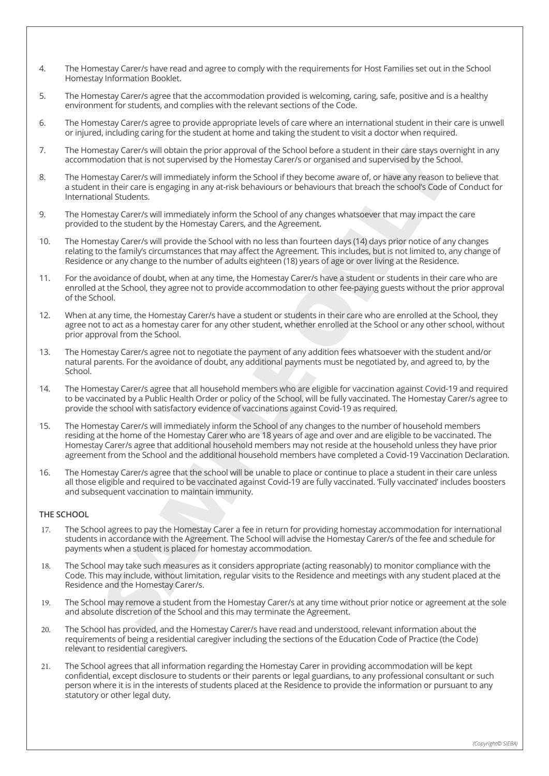- 4. The Homestay Carer/s have read and agree to comply with the requirements for Host Families set out in the School Homestay Information Booklet.
- 5. The Homestay Carer/s agree that the accommodation provided is welcoming, caring, safe, positive and is a healthy environment for students, and complies with the relevant sections of the Code.
- 6. The Homestay Carer/s agree to provide appropriate levels of care where an international student in their care is unwell or injured, including caring for the student at home and taking the student to visit a doctor when required.
- 7. The Homestay Carer/s will obtain the prior approval of the School before a student in their care stays overnight in any accommodation that is not supervised by the Homestay Carer/s or organised and supervised by the School.
- 8. The Homestay Carer/s will immediately inform the School if they become aware of, or have any reason to believe that a student in their care is engaging in any at-risk behaviours or behaviours that breach the school's Code of Conduct for International Students.
- 9. The Homestay Carer/s will immediately inform the School of any changes whatsoever that may impact the care provided to the student by the Homestay Carers, and the Agreement.
- 10. The Homestay Carer/s will provide the School with no less than fourteen days (14) days prior notice of any changes relating to the family's circumstances that may affect the Agreement. This includes, but is not limited to, any change of Residence or any change to the number of adults eighteen (18) years of age or over living at the Residence.
- 11. For the avoidance of doubt, when at any time, the Homestay Carer/s have a student or students in their care who are enrolled at the School, they agree not to provide accommodation to other fee-paying guests without the prior approval of the School.
- 12. When at any time, the Homestay Carer/s have a student or students in their care who are enrolled at the School, they agree not to act as a homestay carer for any other student, whether enrolled at the School or any other school, without prior approval from the School.
- 13. The Homestay Carer/s agree not to negotiate the payment of any addition fees whatsoever with the student and/or natural parents. For the avoidance of doubt, any additional payments must be negotiated by, and agreed to, by the School.
- 14. The Homestay Carer/s agree that all household members who are eligible for vaccination against Covid-19 and required to be vaccinated by a Public Health Order or policy of the School, will be fully vaccinated. The Homestay Carer/s agree to provide the school with satisfactory evidence of vaccinations against Covid-19 as required.
- stay Carer's will obtain the prior approval of the School before a student in their care stay over the stay of the stay carer's or operation that is not supervised by the School Euclide Task of the School Figure Data is th 15. The Homestay Carer/s will immediately inform the School of any changes to the number of household members residing at the home of the Homestay Carer who are 18 years of age and over and are eligible to be vaccinated. The Homestay Carer/s agree that additional household members may not reside at the household unless they have prior agreement from the School and the additional household members have completed a Covid-19 Vaccination Declaration.
- 16. The Homestay Carer/s agree that the school will be unable to place or continue to place a student in their care unless all those eligible and required to be vaccinated against Covid-19 are fully vaccinated. 'Fully vaccinated' includes boosters and subsequent vaccination to maintain immunity.

### **THE SCHOOL**

- 17. The School agrees to pay the Homestay Carer a fee in return for providing homestay accommodation for international students in accordance with the Agreement. The School will advise the Homestay Carer/s of the fee and schedule for payments when a student is placed for homestay accommodation.
- 18. The School may take such measures as it considers appropriate (acting reasonably) to monitor compliance with the Code. This may include, without limitation, regular visits to the Residence and meetings with any student placed at the Residence and the Homestay Carer/s.
- 19. The School may remove a student from the Homestay Carer/s at any time without prior notice or agreement at the sole and absolute discretion of the School and this may terminate the Agreement.
- 20. The School has provided, and the Homestay Carer/s have read and understood, relevant information about the requirements of being a residential caregiver including the sections of the Education Code of Practice (the Code) relevant to residential caregivers.
- 21. The School agrees that all information regarding the Homestay Carer in providing accommodation will be kept confidential, except disclosure to students or their parents or legal guardians, to any professional consultant or such person where it is in the interests of students placed at the Residence to provide the information or pursuant to any statutory or other legal duty.